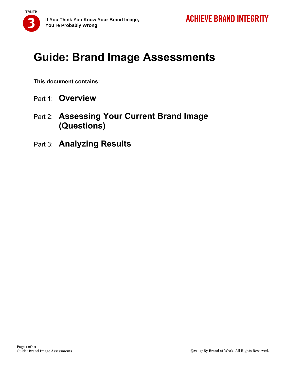

# **Guide: Brand Image Assessments**

**This document contains:** 

- Part 1: **Overview**
- Part 2: **Assessing Your Current Brand Image (Questions)**
- Part 3: **Analyzing Results**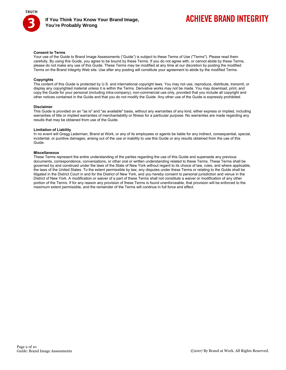

# **ACHIEVE BRAND INTEGRITY**

#### **Consent to Terms**

Your use of the Guide to Brand Image Assessments ("Guide") is subject to these Terms of Use ("Terms"). Please read them carefully. By using this Guide, you agree to be bound by these Terms. If you do not agree with, or cannot abide by these Terms, please do not make any use of this Guide. These Terms may be modified at any time at our discretion by posting the modified Terms on the Brand Integrity Web site. Use after any posting will constitute your agreement to abide by the modified Terms.

#### **Copyrights**

The content of this Guide is protected by U.S. and international copyright laws. You may not use, reproduce, distribute, transmit, or display any copyrighted material unless it is within the Terms. Derivative works may not be made. You may download, print, and copy the Guide for your personal (including intra-company), non-commercial use only, provided that you include all copyright and other notices contained in the Guide and that you do not modify the Guide. Any other use of the Guide is expressly prohibited.

#### **Disclaimer**

This Guide is provided on an "as is" and "as available" basis, without any warranties of any kind, either express or implied, including warranties of title or implied warranties of merchantability or fitness for a particular purpose. No warranties are made regarding any results that may be obtained from use of the Guide.

#### **Limitation of Liability**

In no event will Gregg Lederman, Brand at Work, or any of its employees or agents be liable for any indirect, consequential, special, incidental, or punitive damages, arising out of the use or inability to use this Guide or any results obtained from the use of this Guide.

#### **Miscellaneous**

These Terms represent the entire understanding of the parties regarding the use of this Guide and supersede any previous documents, correspondence, conversations, or other oral or written understanding related to these Terms. These Terms shall be governed by and construed under the laws of the State of New York without regard to its choice of law, rules, and where applicable, the laws of the United States. To the extent permissible by law, any disputes under these Terms or relating to the Guide shall be litigated in the District Court in and for the District of New York, and you hereby consent to personal jurisdiction and venue in the District of New York. A modification or waiver of a part of these Terms shall not constitute a waiver or modification of any other portion of the Terms. If for any reason any provision of these Terms is found unenforceable, that provision will be enforced to the maximum extent permissible, and the remainder of the Terms will continue in full force and effect.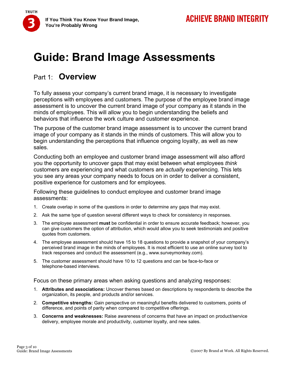# **Guide: Brand Image Assessments**

### Part 1: **Overview**

**TRUTH** 

To fully assess your company's current brand image, it is necessary to investigate perceptions with employees and customers. The purpose of the employee brand image assessment is to uncover the current brand image of your company as it stands in the minds of employees. This will allow you to begin understanding the beliefs and behaviors that influence the work culture and customer experience.

The purpose of the customer brand image assessment is to uncover the current brand image of your company as it stands in the minds of customers. This will allow you to begin understanding the perceptions that influence ongoing loyalty, as well as new sales.

Conducting both an employee and customer brand image assessment will also afford you the opportunity to uncover gaps that may exist between what employees *think* customers are experiencing and what customers are *actually* experiencing. This lets you see any areas your company needs to focus on in order to deliver a consistent, positive experience for customers and for employees.

Following these guidelines to conduct employee and customer brand image assessments:

- 1. Create overlap in some of the questions in order to determine any gaps that may exist.
- 2. Ask the same type of question several different ways to check for consistency in responses.
- 3. The employee assessment **must** be confidential in order to ensure accurate feedback; however, you can give customers the option of attribution, which would allow you to seek testimonials and positive quotes from customers.
- 4. The employee assessment should have 15 to 18 questions to provide a snapshot of your company's perceived brand image in the minds of employees. It is most efficient to use an online survey tool to track responses and conduct the assessment (e.g., www.surveymonkey.com).
- 5. The customer assessment should have 10 to 12 questions and can be face-to-face or telephone-based interviews.

Focus on these primary areas when asking questions and analyzing responses:

- 1. **Attributes and associations:** Uncover themes based on descriptions by respondents to describe the organization, its people, and products and/or services.
- 2. **Competitive strengths:** Gain perspective on meaningful benefits delivered to customers, points of difference, and points of parity when compared to competitive offerings.
- 3. **Concerns and weaknesses:** Raise awareness of concerns that have an impact on product/service delivery, employee morale and productivity, customer loyalty, and new sales.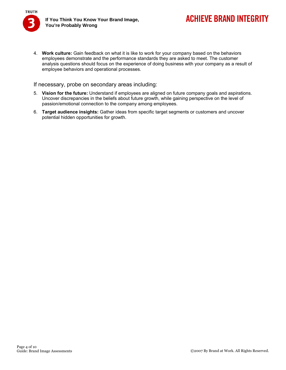

4. **Work culture:** Gain feedback on what it is like to work for your company based on the behaviors employees demonstrate and the performance standards they are asked to meet. The customer analysis questions should focus on the experience of doing business with your company as a result of employee behaviors and operational processes.

If necessary, probe on secondary areas including:

- 5. **Vision for the future:** Understand if employees are aligned on future company goals and aspirations. Uncover discrepancies in the beliefs about future growth, while gaining perspective on the level of passion/emotional connection to the company among employees.
- 6. **Target audience insights:** Gather ideas from specific target segments or customers and uncover potential hidden opportunities for growth.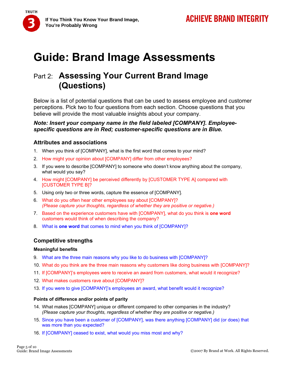**TRUTH** 

# **Guide: Brand Image Assessments**

## Part 2: **Assessing Your Current Brand Image (Questions)**

Below is a list of potential questions that can be used to assess employee and customer perceptions. Pick two to four questions from each section. Choose questions that you believe will provide the most valuable insights about your company.

### *Note: Insert your company name in the field labeled [COMPANY]. Employeespecific questions are in Red; customer-specific questions are in Blue.*

### **Attributes and associations**

- 1. When you think of [COMPANY], what is the first word that comes to your mind?
- 2. How might your opinion about [COMPANY] differ from other employees?
- 3. If you were to describe [COMPANY] to someone who doesn't know anything about the company, what would you say?
- 4. How might [COMPANY] be perceived differently by [CUSTOMER TYPE A] compared with [CUSTOMER TYPE B]?
- 5. Using only two or three words, capture the essence of [COMPANY].
- 6. What do you often hear other employees say about [COMPANY]? *(Please capture your thoughts, regardless of whether they are positive or negative.)*
- 7. Based on the experience customers have with [COMPANY], what do you think is **one word** customers would think of when describing the company?
- 8. What is **one word** that comes to mind when you think of [COMPANY]?

### **Competitive strengths**

### **Meaningful benefits**

- 9. What are the three main reasons why you like to do business with [COMPANY]?
- 10. What do you think are the three main reasons why customers like doing business with [COMPANY]?
- 11. If [COMPANY]'s employees were to receive an award from customers, what would it recognize?
- 12. What makes customers rave about [COMPANY]?
- 13. If you were to give [COMPANY]'s employees an award, what benefit would it recognize?

### **Points of difference and/or points of parity**

- 14. What makes [COMPANY] unique or different compared to other companies in the industry? *(Please capture your thoughts, regardless of whether they are positive or negative.)*
- 15. Since you have been a customer of [COMPANY], was there anything [COMPANY] did (or does) that was more than you expected?
- 16. If [COMPANY] ceased to exist, what would you miss most and why?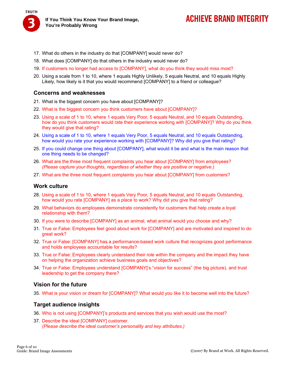

**If You Think You Know Your Brand Image, You're Probably Wrong** 

## **ACHIEVE BRAND INTEGRITY**

- 17. What do others in the industry do that [COMPANY] would never do?
- 18. What does [COMPANY] do that others in the industry would never do?
- 19. If customers no longer had access to [COMPANY], what do you think they would miss most?
- 20. Using a scale from 1 to 10, where 1 equals Highly Unlikely, 5 equals Neutral, and 10 equals Highly Likely, how likely is it that you would recommend [COMPANY] to a friend or colleague?

### **Concerns and weaknesses**

- 21. What is the biggest concern you have about [COMPANY]?
- 22. What is the biggest concern you think customers have about [COMPANY]?
- 23. Using a scale of 1 to 10, where 1 equals Very Poor, 5 equals Neutral, and 10 equals Outstanding, how do you think customers would rate their experience working with [COMPANY]? Why do you think they would give that rating?
- 24. Using a scale of 1 to 10, where 1 equals Very Poor, 5 equals Neutral, and 10 equals Outstanding, how would you rate your experience working with [COMPANY]? Why did you give that rating?
- 25. If you could change one thing about [COMPANY], what would it be and what is the main reason that one thing needs to be changed?
- 26. What are the three most frequent complaints you hear about [COMPANY] from employees? *(Please capture your thoughts, regardless of whether they are positive or negative.)*
- 27. What are the three most frequent complaints you hear about [COMPANY] from customers?

### **Work culture**

- 28. Using a scale of 1 to 10, where 1 equals Very Poor, 5 equals Neutral, and 10 equals Outstanding, how would you rate [COMPANY] as a place to work? Why did you give that rating?
- 29. What behaviors do employees demonstrate consistently for customers that help create a loyal relationship with them?
- 30. If you were to describe [COMPANY] as an animal, what animal would you choose and why?
- 31. True or False: Employees feel good about work for [COMPANY] and are motivated and inspired to do great work?
- 32. True or False: [COMPANY] has a performance-based work culture that recognizes good performance and holds employees accountable for results?
- 33. True or False: Employees clearly understand their role within the company and the impact they have on helping the organization achieve business goals and objectives?
- 34. True or False: Employees understand [COMPANY]'s "vision for success" (the big picture), and trust leadership to get the company there?

### **Vision for the future**

35. What is your vision or dream for [COMPANY]? What would you like it to become well into the future?

### **Target audience insights**

- 36. Who is not using [COMPANY]'s products and services that you wish would use the most?
- 37. Describe the ideal [COMPANY] customer. *(Please describe the ideal customer's personality and key attributes.)*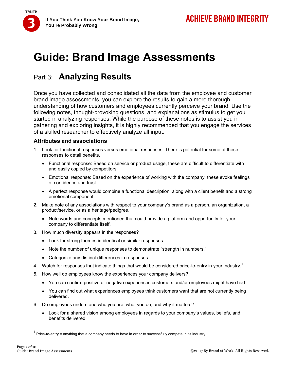**TRUTH** 

# **Guide: Brand Image Assessments**

## Part 3: **Analyzing Results**

Once you have collected and consolidated all the data from the employee and customer brand image assessments, you can explore the results to gain a more thorough understanding of how customers and employees currently perceive your brand. Use the following notes, thought-provoking questions, and explanations as stimulus to get you started in analyzing responses. While the purpose of these notes is to assist you in gathering and exploring insights, it is highly recommended that you engage the services of a skilled researcher to effectively analyze all input.

### **Attributes and associations**

- 1. Look for functional responses versus emotional responses. There is potential for some of these responses to detail benefits.
	- Functional response: Based on service or product usage, these are difficult to differentiate with and easily copied by competitors.
	- Emotional response: Based on the experience of working with the company, these evoke feelings of confidence and trust.
	- A perfect response would combine a functional description, along with a client benefit and a strong emotional component.
- 2. Make note of any associations with respect to your company's brand as a person, an organization, a product/service, or as a heritage/pedigree.
	- Note words and concepts mentioned that could provide a platform and opportunity for your company to differentiate itself.
- 3. How much diversity appears in the responses?
	- Look for strong themes in identical or similar responses.
	- Note the number of unique responses to demonstrate "strength in numbers."
	- Categorize any distinct differences in responses.
- 4. Watch for responses that indicate things that would be considered price-to-entry in your industry.<sup>1</sup>
- 5. How well do employees know the experiences your company delivers?
	- You can confirm positive or negative experiences customers and/or employees might have had.
	- You can find out what experiences employees think customers want that are not currently being delivered.
- 6. Do employees understand who you are, what you do, and why it matters?
	- Look for a shared vision among employees in regards to your company's values, beliefs, and benefits delivered.

 $1$  Price-to-entry = anything that a company needs to have in order to successfully compete in its industry.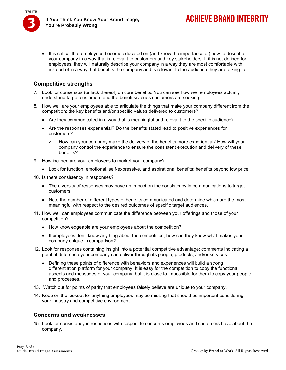**ACHIEVE BRAND INTEGRITY** 

• It is critical that employees become educated on (and know the importance of) how to describe your company in a way that is relevant to customers and key stakeholders. If it is not defined for employees, they will naturally describe your company in a way they are most comfortable with instead of in a way that benefits the company and is relevant to the audience they are talking to.

### **Competitive strengths**

- 7. Look for consensus (or lack thereof) on core benefits. You can see how well employees actually understand target customers and the benefits/values customers are seeking.
- 8. How well are your employees able to articulate the things that make your company different from the competition; the key benefits and/or specific values delivered to customers?
	- Are they communicated in a way that is meaningful and relevant to the specific audience?
	- Are the responses experiential? Do the benefits stated lead to positive experiences for customers?
		- > How can your company make the delivery of the benefits more experiential? How will your company control the experience to ensure the consistent execution and delivery of these benefits?
- 9. How inclined are your employees to market your company?
	- Look for function, emotional, self-expressive, and aspirational benefits; benefits beyond low price.
- 10. Is there consistency in responses?
	- The diversity of responses may have an impact on the consistency in communications to target customers.
	- Note the number of different types of benefits communicated and determine which are the most meaningful with respect to the desired outcomes of specific target audiences.
- 11. How well can employees communicate the difference between your offerings and those of your competition?
	- How knowledgeable are your employees about the competition?
	- If employees don't know anything about the competition, how can they know what makes your company unique in comparison?
- 12. Look for responses containing insight into a potential competitive advantage; comments indicating a point of difference your company can deliver through its people, products, and/or services.
	- Defining these points of difference with behaviors and experiences will build a strong differentiation platform for your company. It is easy for the competition to copy the functional aspects and messages of your company, but it is close to impossible for them to copy your people and processes.
- 13. Watch out for points of parity that employees falsely believe are unique to your company.
- 14. Keep on the lookout for anything employees may be missing that should be important considering your industry and competitive environment.

### **Concerns and weaknesses**

15. Look for consistency in responses with respect to concerns employees and customers have about the company.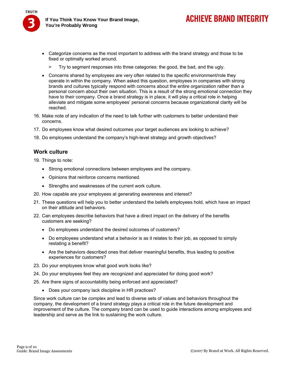

- Categorize concerns as the most important to address with the brand strategy and those to be fixed or optimally worked around.
	- > Try to segment responses into three categories: the good, the bad, and the ugly.
- Concerns shared by employees are very often related to the specific environment/role they operate in within the company. When asked this question, employees in companies with strong brands and cultures typically respond with concerns about the entire organization rather than a personal concern about their own situation. This is a result of the strong emotional connection they have to their company. Once a brand strategy is in place, it will play a critical role in helping alleviate and mitigate some employees' personal concerns because organizational clarity will be reached.
- 16. Make note of any indication of the need to talk further with customers to better understand their concerns.
- 17. Do employees know what desired outcomes your target audiences are looking to achieve?
- 18. Do employees understand the company's high-level strategy and growth objectives?

### **Work culture**

19. Things to note:

- Strong emotional connections between employees and the company.
- Opinions that reinforce concerns mentioned.
- Strengths and weaknesses of the current work culture.
- 20. How capable are your employees at generating awareness and interest?
- 21. These questions will help you to better understand the beliefs employees hold, which have an impact on their attitude and behaviors.
- 22. Can employees describe behaviors that have a direct impact on the delivery of the benefits customers are seeking?
	- Do employees understand the desired outcomes of customers?
	- Do employees understand what a behavior is as it relates to their job, as opposed to simply restating a benefit?
	- Are the behaviors described ones that deliver meaningful benefits, thus leading to positive experiences for customers?
- 23. Do your employees know what good work looks like?
- 24. Do your employees feel they are recognized and appreciated for doing good work?
- 25. Are there signs of accountability being enforced and appreciated?
	- Does your company lack discipline in HR practices?

Since work culture can be complex and lead to diverse sets of values and behaviors throughout the company, the development of a brand strategy plays a critical role in the future development and improvement of the culture. The company brand can be used to guide interactions among employees and leadership and serve as the link to sustaining the work culture.